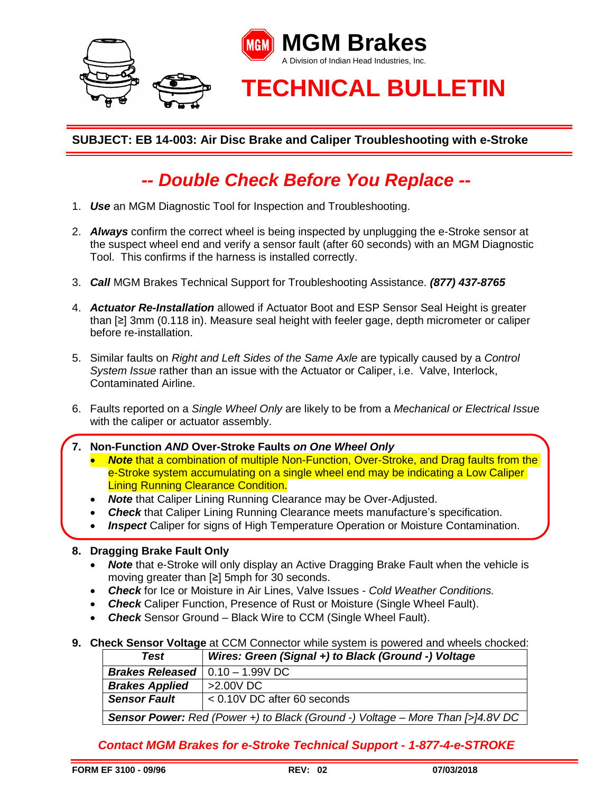

## **SUBJECT: EB 14-003: Air Disc Brake and Caliper Troubleshooting with e-Stroke**

## *-- Double Check Before You Replace --*

- 1. *Use* an MGM Diagnostic Tool for Inspection and Troubleshooting.
- 2. *Always* confirm the correct wheel is being inspected by unplugging the e-Stroke sensor at the suspect wheel end and verify a sensor fault (after 60 seconds) with an MGM Diagnostic Tool. This confirms if the harness is installed correctly.
- 3. *Call* MGM Brakes Technical Support for Troubleshooting Assistance. *(877) 437-8765*
- 4. *Actuator Re-Installation* allowed if Actuator Boot and ESP Sensor Seal Height is greater than [≥] 3mm (0.118 in). Measure seal height with feeler gage, depth micrometer or caliper before re-installation.
- 5. Similar faults on *Right and Left Sides of the Same Axle* are typically caused by a *Control System Issue* rather than an issue with the Actuator or Caliper, i.e. Valve, Interlock, Contaminated Airline.
- 6. Faults reported on a *Single Wheel Only* are likely to be from a *Mechanical or Electrical Issu*e with the caliper or actuator assembly.
- **7. Non-Function** *AND* **Over-Stroke Faults** *on One Wheel Only*
	- **Note** that a combination of multiple Non-Function, Over-Stroke, and Drag faults from the e-Stroke system accumulating on a single wheel end may be indicating a Low Caliper Lining Running Clearance Condition.
	- *Note* that Caliper Lining Running Clearance may be Over-Adjusted.
	- **Check** that Caliper Lining Running Clearance meets manufacture's specification.
	- *Inspect* Caliper for signs of High Temperature Operation or Moisture Contamination.

## **8. Dragging Brake Fault Only**

- **Note** that e-Stroke will only display an Active Dragging Brake Fault when the vehicle is moving greater than [≥] 5mph for 30 seconds.
- *Check* for Ice or Moisture in Air Lines, Valve Issues *Cold Weather Conditions.*
- *Check* Caliper Function, Presence of Rust or Moisture (Single Wheel Fault).
- *Check* Sensor Ground Black Wire to CCM (Single Wheel Fault).
- **9. Check Sensor Voltage** at CCM Connector while system is powered and wheels chocked:

| <b>Test</b>                                                                           | Wires: Green (Signal +) to Black (Ground -) Voltage |
|---------------------------------------------------------------------------------------|-----------------------------------------------------|
| <b>Brakes Released</b> $\vert$ 0.10 - 1.99V DC                                        |                                                     |
| <b>Brakes Applied</b>                                                                 | $>2.00V$ DC                                         |
| <b>Sensor Fault</b>                                                                   | $< 0.10V$ DC after 60 seconds                       |
| <b>Sensor Power:</b> Red (Power +) to Black (Ground -) Voltage – More Than [>]4.8V DC |                                                     |

*Contact MGM Brakes for e-Stroke Technical Support - 1-877-4-e-STROKE*